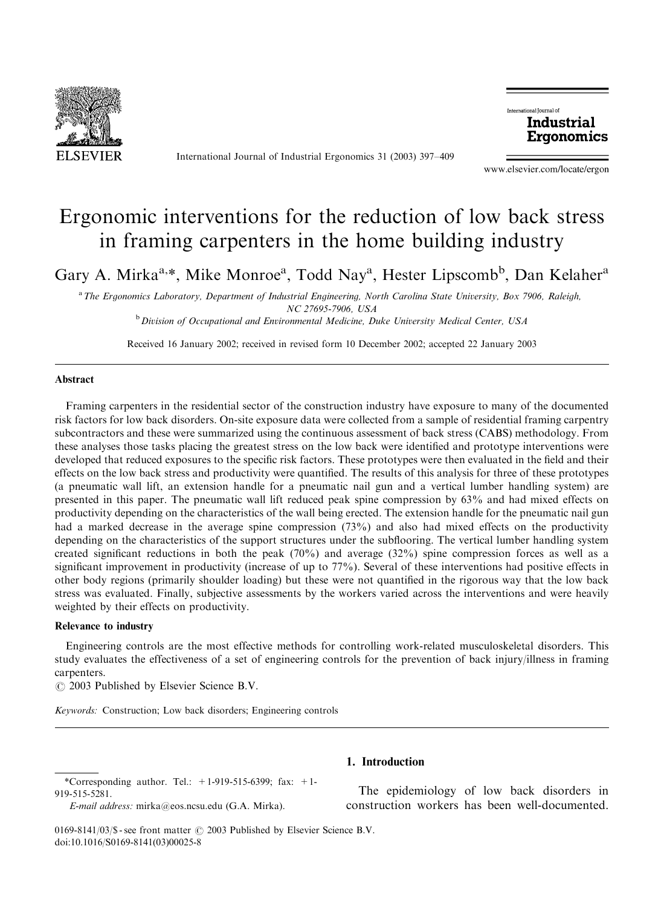

International Journal of Industrial Ergonomics 31 (2003) 397–409



www.elsevier.com/locate/ergon

# Ergonomic interventions for the reduction of low back stress in framing carpenters in the home building industry

Gary A. Mirka<sup>a,\*</sup>, Mike Monroe<sup>a</sup>, Todd Nay<sup>a</sup>, Hester Lipscomb<sup>b</sup>, Dan Kelaher<sup>a</sup>

a The Ergonomics Laboratory, Department of Industrial Engineering, North Carolina State University, Box 7906, Raleigh, NC 27695-7906, USA

 $b$  Division of Occupational and Environmental Medicine, Duke University Medical Center, USA

Received 16 January 2002; received in revised form 10 December 2002; accepted 22 January 2003

### Abstract

Framing carpenters in the residential sector of the construction industry have exposure to many of the documented risk factors for low back disorders. On-site exposure data were collected from a sample of residential framing carpentry subcontractors and these were summarized using the continuous assessment of back stress (CABS) methodology. From these analyses those tasks placing the greatest stress on the low back were identified and prototype interventions were developed that reduced exposures to the specific risk factors. These prototypes were then evaluated in the field and their effects on the low back stress and productivity were quantified. The results of this analysis for three of these prototypes (a pneumatic wall lift, an extension handle for a pneumatic nail gun and a vertical lumber handling system) are presented in this paper. The pneumatic wall lift reduced peak spine compression by 63% and had mixed effects on productivity depending on the characteristics of the wall being erected. The extension handle for the pneumatic nail gun had a marked decrease in the average spine compression (73%) and also had mixed effects on the productivity depending on the characteristics of the support structures under the subflooring. The vertical lumber handling system created significant reductions in both the peak (70%) and average (32%) spine compression forces as well as a significant improvement in productivity (increase of up to 77%). Several of these interventions had positive effects in other body regions (primarily shoulder loading) but these were not quantified in the rigorous way that the low back stress was evaluated. Finally, subjective assessments by the workers varied across the interventions and were heavily weighted by their effects on productivity.

#### Relevance to industry

Engineering controls are the most effective methods for controlling work-related musculoskeletal disorders. This study evaluates the effectiveness of a set of engineering controls for the prevention of back injury/illness in framing carpenters.

 $\odot$  2003 Published by Elsevier Science B.V.

Keywords: Construction; Low back disorders; Engineering controls

# 1. Introduction

The epidemiology of low back disorders in construction workers has been well-documented.

<sup>\*</sup>Corresponding author. Tel.:  $+1-919-515-6399$ ; fax:  $+1-$ 919-515-5281.

E-mail address: mirka@eos.ncsu.edu (G.A. Mirka).

<sup>0169-8141/03/\$ -</sup> see front matter  $\odot$  2003 Published by Elsevier Science B.V. doi:10.1016/S0169-8141(03)00025-8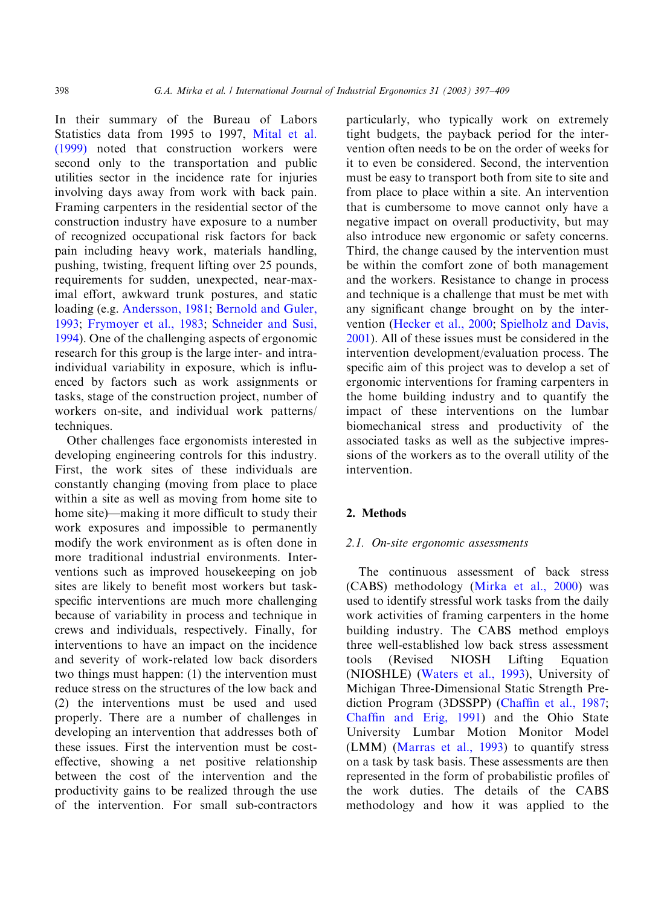In their summary of the Bureau of Labors Statistics data from 1995 to 1997, [Mital et al.](#page--1-0) [\(1999\)](#page--1-0) noted that construction workers were second only to the transportation and public utilities sector in the incidence rate for injuries involving days away from work with back pain. Framing carpenters in the residential sector of the construction industry have exposure to a number of recognized occupational risk factors for back pain including heavy work, materials handling, pushing, twisting, frequent lifting over 25 pounds, requirements for sudden, unexpected, near-maximal effort, awkward trunk postures, and static loading (e.g. [Andersson, 1981](#page--1-0); [Bernold and Guler,](#page--1-0) [1993;](#page--1-0) [Frymoyer et al., 1983](#page--1-0); [Schneider and Susi,](#page--1-0) [1994\)](#page--1-0). One of the challenging aspects of ergonomic research for this group is the large inter- and intraindividual variability in exposure, which is influenced by factors such as work assignments or tasks, stage of the construction project, number of workers on-site, and individual work patterns/ techniques.

Other challenges face ergonomists interested in developing engineering controls for this industry. First, the work sites of these individuals are constantly changing (moving from place to place within a site as well as moving from home site to home site)—making it more difficult to study their work exposures and impossible to permanently modify the work environment as is often done in more traditional industrial environments. Interventions such as improved housekeeping on job sites are likely to benefit most workers but taskspecific interventions are much more challenging because of variability in process and technique in crews and individuals, respectively. Finally, for interventions to have an impact on the incidence and severity of work-related low back disorders two things must happen: (1) the intervention must reduce stress on the structures of the low back and (2) the interventions must be used and used properly. There are a number of challenges in developing an intervention that addresses both of these issues. First the intervention must be costeffective, showing a net positive relationship between the cost of the intervention and the productivity gains to be realized through the use of the intervention. For small sub-contractors

particularly, who typically work on extremely tight budgets, the payback period for the intervention often needs to be on the order of weeks for it to even be considered. Second, the intervention must be easy to transport both from site to site and from place to place within a site. An intervention that is cumbersome to move cannot only have a negative impact on overall productivity, but may also introduce new ergonomic or safety concerns. Third, the change caused by the intervention must be within the comfort zone of both management and the workers. Resistance to change in process and technique is a challenge that must be met with any significant change brought on by the intervention ([Hecker et al., 2000;](#page--1-0) [Spielholz and Davis,](#page--1-0) [2001\)](#page--1-0). All of these issues must be considered in the intervention development/evaluation process. The specific aim of this project was to develop a set of ergonomic interventions for framing carpenters in the home building industry and to quantify the impact of these interventions on the lumbar biomechanical stress and productivity of the associated tasks as well as the subjective impressions of the workers as to the overall utility of the intervention.

## 2. Methods

### 2.1. On-site ergonomic assessments

The continuous assessment of back stress (CABS) methodology ([Mirka et al., 2000\)](#page--1-0) was used to identify stressful work tasks from the daily work activities of framing carpenters in the home building industry. The CABS method employs three well-established low back stress assessment tools (Revised NIOSH Lifting Equation (NIOSHLE) [\(Waters et al., 1993](#page--1-0)), University of Michigan Three-Dimensional Static Strength Prediction Program (3DSSPP) [\(Chaffin et al., 1987](#page--1-0); [Chaffin and Erig, 1991\)](#page--1-0) and the Ohio State University Lumbar Motion Monitor Model (LMM) [\(Marras et al., 1993\)](#page--1-0) to quantify stress on a task by task basis. These assessments are then represented in the form of probabilistic profiles of the work duties. The details of the CABS methodology and how it was applied to the